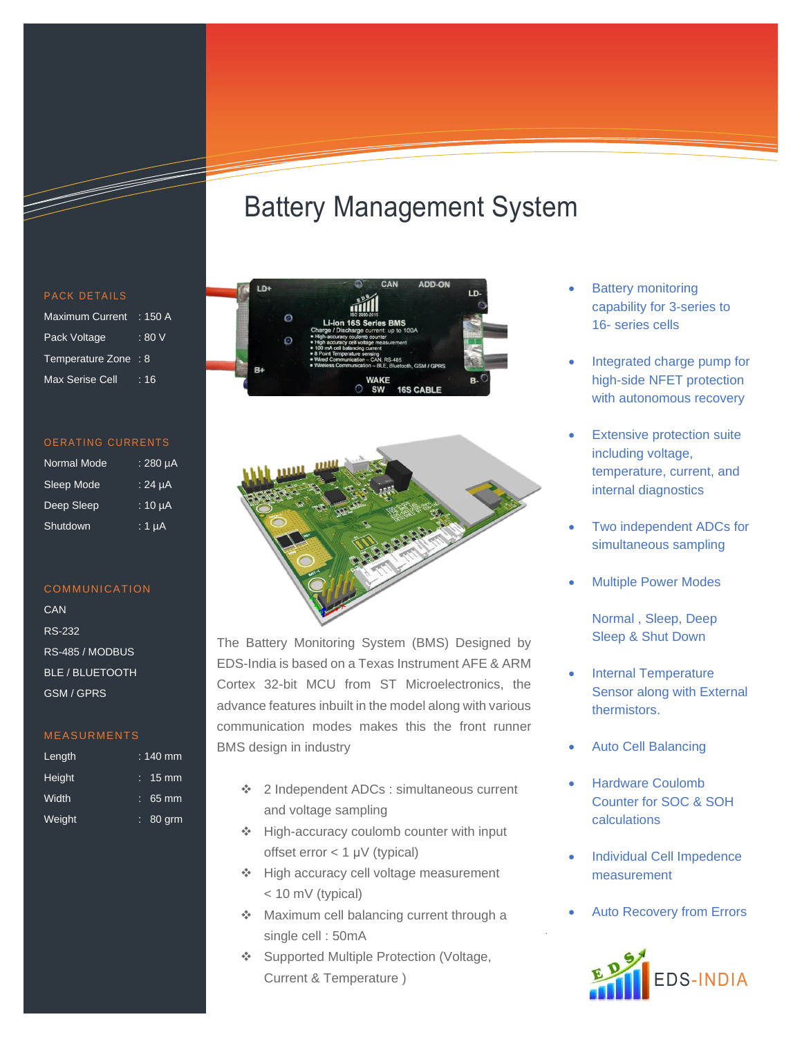# Battery Management System





The Battery Monitoring System (BMS) Designed by EDS-India is based on a Texas Instrument AFE & ARM Cortex 32-bit MCU from ST Microelectronics, the advance features inbuilt in the model along with various communication modes makes this the front runner BMS design in industry

- ❖ 2 Independent ADCs : simultaneous current and voltage sampling
- ❖ High-accuracy coulomb counter with input offset error < 1 μV (typical)
- ❖ High accuracy cell voltage measurement < 10 mV (typical)
- ❖ Maximum cell balancing current through a single cell : 50mA
- ❖ Supported Multiple Protection (Voltage, Current & Temperature )
- **Battery monitoring** capability for 3-series to 16- series cells
- Integrated charge pump for high-side NFET protection with autonomous recovery
- **Extensive protection suite** including voltage, temperature, current, and internal diagnostics
- Two independent ADCs for simultaneous sampling
- Multiple Power Modes
	- Normal , Sleep, Deep Sleep & Shut Down
- Internal Temperature Sensor along with External thermistors.
- Auto Cell Balancing
- Hardware Coulomb Counter for SOC & SOH calculations
- Individual Cell Impedence measurement
- Auto Recovery from Errors

.



| <b>Maximum Current</b> | $\div$ 150 A |
|------------------------|--------------|
| Pack Voltage           | : 80V        |
| Temperature Zone : 8   |              |
| Max Serise Cell        | . 16         |

| <b>Normal Mode</b> | $:280 \mu A$ |
|--------------------|--------------|
| Sleep Mode         | $.24 \mu A$  |
| Deep Sleep         | $:10 \mu A$  |
| Shutdown           | : 1 µA       |

### **COMMUNICATION**

**CAN** RS-232 RS-485 / MODBUS BLE / BLUETOOTH GSM / GPRS

# MEASURMENTS

| Length | $: 140$ mm        |
|--------|-------------------|
| Height | $: 15 \text{ mm}$ |
| Width  | $: 65 \text{ mm}$ |
| Weight | $: 80$ grm        |